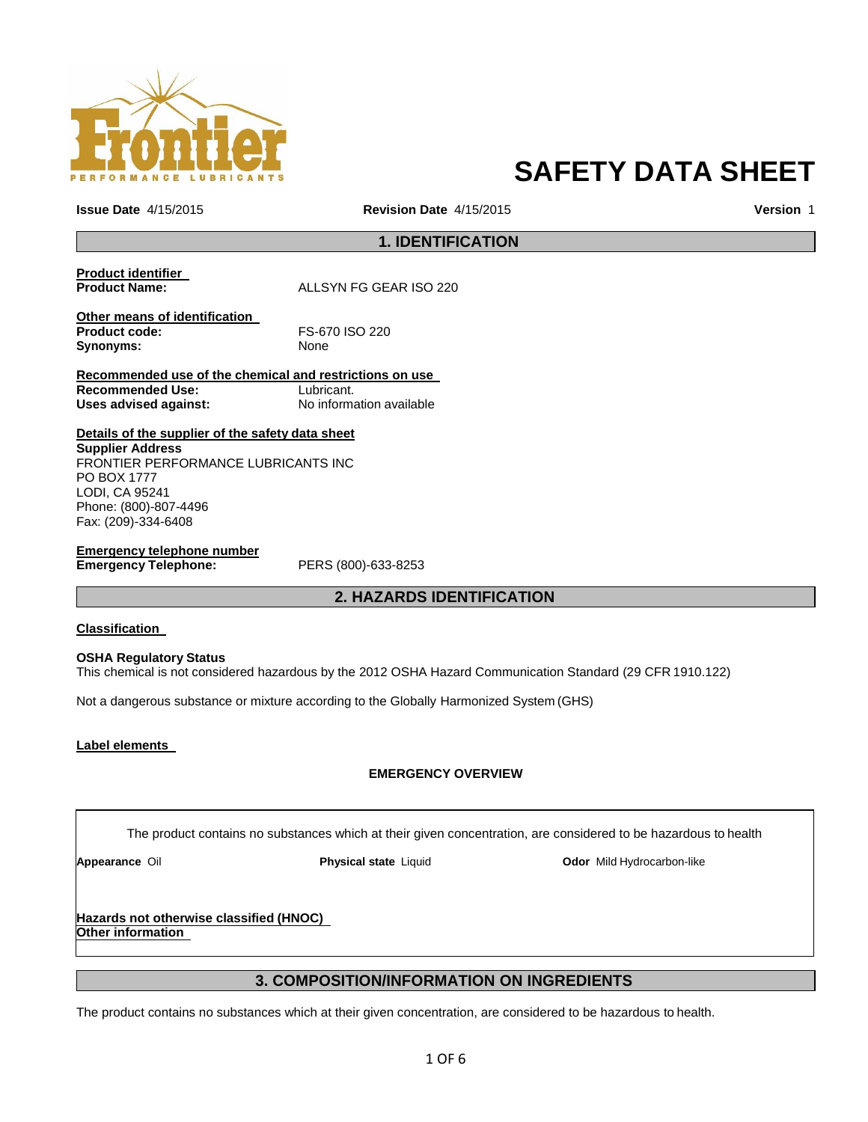

# **SAFETY DATA SHEET**

**Issue Date** 4/15/2015 **Revision Date** 4/15/2015 **Version** 1

# **1. IDENTIFICATION**

| Product identifier<br><b>Product Name:</b>              | ALLSYN FG GEAR ISO 220   |  |  |  |
|---------------------------------------------------------|--------------------------|--|--|--|
| Other means of identification                           |                          |  |  |  |
| <b>Product code:</b>                                    | FS-670 ISO 220           |  |  |  |
| Synonyms:                                               | <b>None</b>              |  |  |  |
| Recommended use of the chemical and restrictions on use |                          |  |  |  |
| <b>Recommended Use:</b>                                 | Lubricant.               |  |  |  |
| Uses advised against:                                   | No information available |  |  |  |

**Details of the supplier of the safety data sheet Supplier Address** FRONTIER PERFORMANCE LUBRICANTS INC PO BOX 1777 LODI, CA 95241 Phone: (800)-807-4496 Fax: (209)-334-6408

**Emergency telephone number Emergency Telephone:** PERS (800)-633-8253

# **2. HAZARDS IDENTIFICATION**

### **Classification**

### **OSHA Regulatory Status**

This chemical is not considered hazardous by the 2012 OSHA Hazard Communication Standard (29 CFR 1910.122)

Not a dangerous substance or mixture according to the Globally Harmonized System (GHS)

### **Label elements**

# **EMERGENCY OVERVIEW**

The product contains no substances which at their given concentration, are considered to be hazardous to health

**Appearance** Oil **Physical state** Liquid **Odor** Mild Hydrocarbon-like

### **Hazards not otherwise classified (HNOC) Other information**

# **3. COMPOSITION/INFORMATION ON INGREDIENTS**

The product contains no substances which at their given concentration, are considered to be hazardous to health.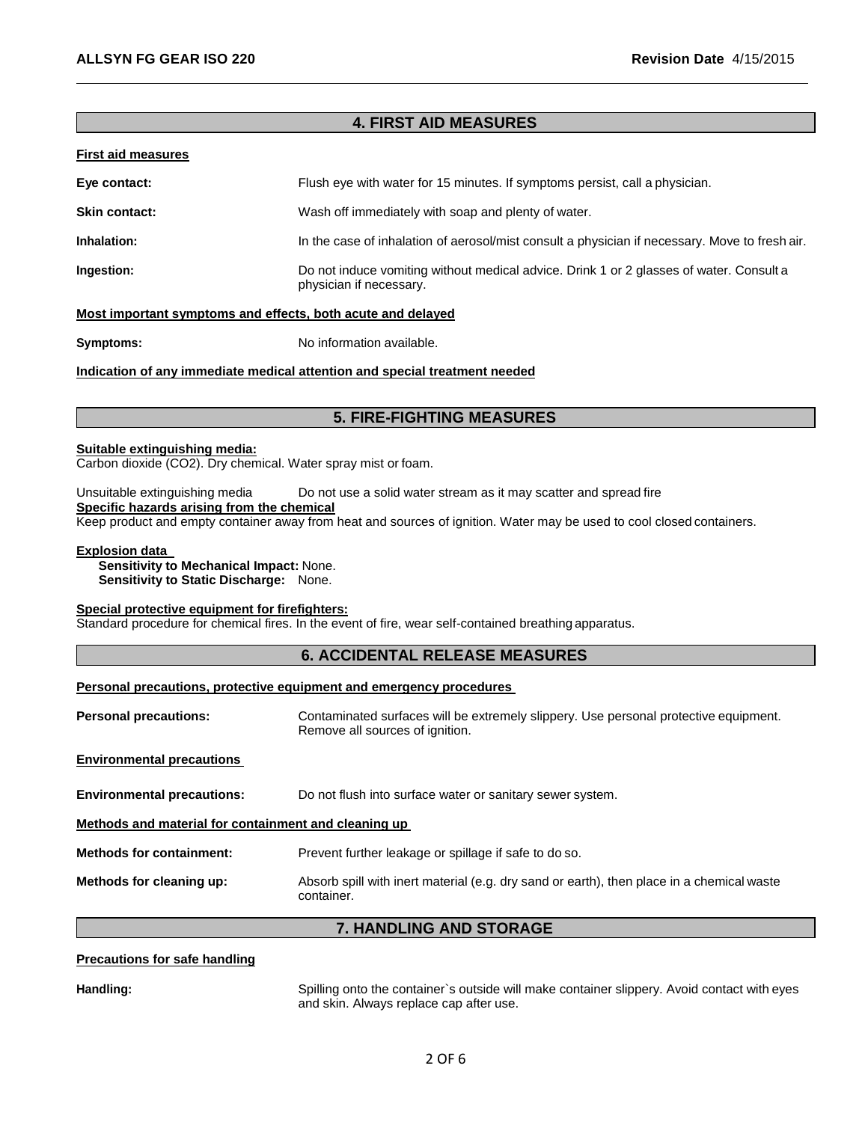# **4. FIRST AID MEASURES**

### **First aid measures**

| Eye contact:         | Flush eye with water for 15 minutes. If symptoms persist, call a physician. |
|----------------------|-----------------------------------------------------------------------------|
| <b>Skin contact:</b> | Wash off immediately with soap and plenty of water.                         |

**Inhalation:** In the case of inhalation of aerosol/mist consult a physician if necessary. Move to fresh air.

**Ingestion:** Do not induce vomiting without medical advice. Drink 1 or 2 glasses of water. Consult a physician if necessary.

### **Most important symptoms and effects, both acute and delayed**

**Symptoms:** No information available.

**Indication of any immediate medical attention and special treatment needed**

# **5. FIRE-FIGHTING MEASURES**

### **Suitable extinguishing media:**

Carbon dioxide (CO2). Dry chemical. Water spray mist or foam.

Unsuitable extinguishing media Do not use a solid water stream as it may scatter and spread fire **Specific hazards arising from the chemical**

Keep product and empty container away from heat and sources of ignition. Water may be used to cool closed containers.

### **Explosion data**

**Sensitivity to Mechanical Impact:** None. **Sensitivity to Static Discharge:** None.

### **Special protective equipment for firefighters:**

Standard procedure for chemical fires. In the event of fire, wear self-contained breathing apparatus.

# **6. ACCIDENTAL RELEASE MEASURES**

### **Personal precautions, protective equipment and emergency procedures**

**Personal precautions:** Contaminated surfaces will be extremely slippery. Use personal protective equipment. Remove all sources of ignition.

|  | <b>Environmental precautions</b> |  |
|--|----------------------------------|--|
|--|----------------------------------|--|

**Environmental precautions:** Do not flush into surface water or sanitary sewer system.

**Methods and material for containment and cleaning up** 

**Methods for containment:** Prevent further leakage or spillage if safe to do so.

**Methods for cleaning up:** Absorb spill with inert material (e.g. dry sand or earth), then place in a chemical waste container.

# **7. HANDLING AND STORAGE**

### **Precautions for safe handling**

**Handling:** Spilling onto the container`s outside will make container slippery. Avoid contact with eyes and skin. Always replace cap after use.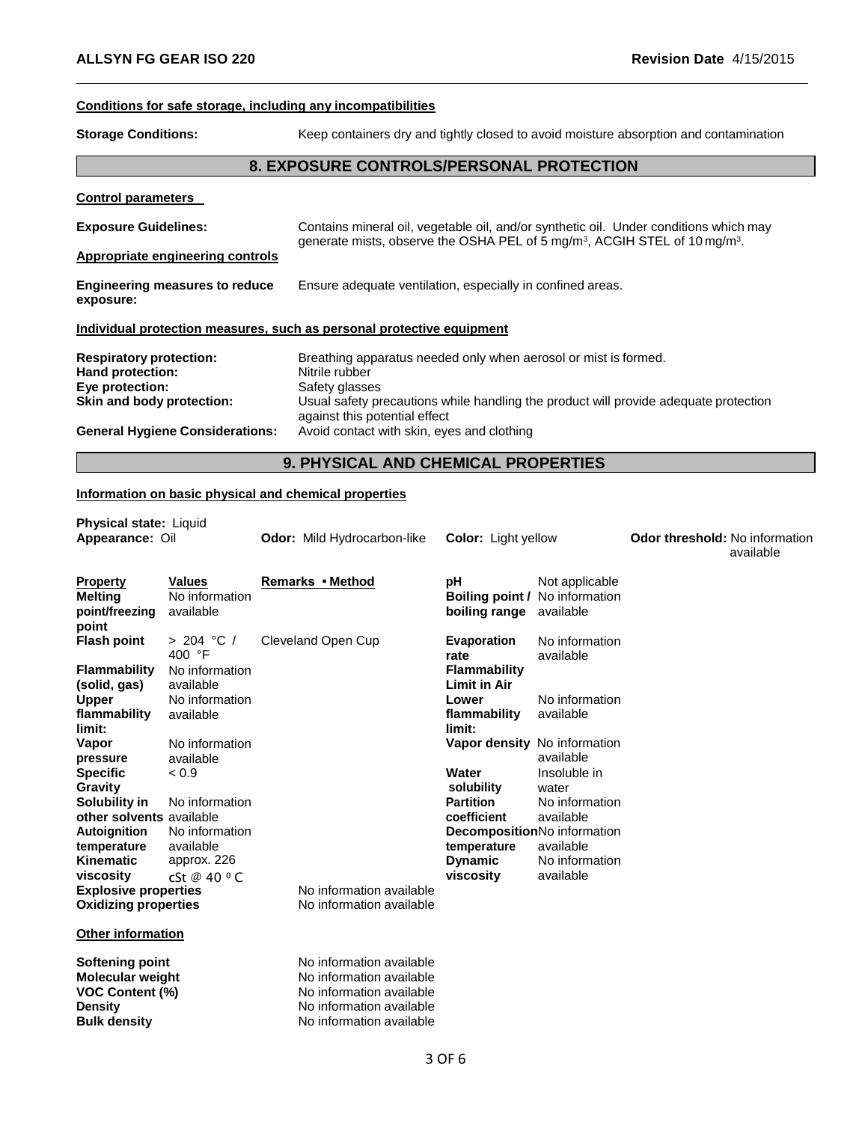# **Conditions for safe storage, including any incompatibilities**

**Storage Conditions:** Keep containers dry and tightly closed to avoid moisture absorption and contamination

# **8. EXPOSURE CONTROLS/PERSONAL PROTECTION**

| <b>Control parameters</b>                          |                                                                                                                                                                                             |
|----------------------------------------------------|---------------------------------------------------------------------------------------------------------------------------------------------------------------------------------------------|
| <b>Exposure Guidelines:</b>                        | Contains mineral oil, vegetable oil, and/or synthetic oil. Under conditions which may<br>generate mists, observe the OSHA PEL of 5 mg/m <sup>3</sup> , ACGIH STEL of 10 mg/m <sup>3</sup> . |
| Appropriate engineering controls                   |                                                                                                                                                                                             |
| <b>Engineering measures to reduce</b><br>exposure: | Ensure adequate ventilation, especially in confined areas.                                                                                                                                  |
|                                                    | Individual protection measures, such as personal protective equipment                                                                                                                       |
| <b>Respiratory protection:</b><br>Hand protection: | Breathing apparatus needed only when aerosol or mist is formed.<br>Nitrile rubber                                                                                                           |
| Eye protection:<br>Skin and body protection:       | Safety glasses<br>Usual safety precautions while handling the product will provide adequate protection<br>against this potential effect                                                     |
| <b>General Hygiene Considerations:</b>             | Avoid contact with skin, eyes and clothing                                                                                                                                                  |

# **9. PHYSICAL AND CHEMICAL PROPERTIES**

# **Information on basic physical and chemical properties**

| <b>Physical state: Liquid</b>                                                   |                                              |                                                                                                              |                                                                               |                                                            |                                                    |
|---------------------------------------------------------------------------------|----------------------------------------------|--------------------------------------------------------------------------------------------------------------|-------------------------------------------------------------------------------|------------------------------------------------------------|----------------------------------------------------|
| Appearance: Oil                                                                 |                                              | <b>Odor:</b> Mild Hydrocarbon-like                                                                           | <b>Color:</b> Light yellow                                                    |                                                            | <b>Odor threshold: No information</b><br>available |
| <b>Property</b><br><b>Melting</b><br>point/freezing<br>point                    | <b>Values</b><br>No information<br>available | Remarks • Method                                                                                             | рH<br><b>Boiling point / No information</b><br><b>boiling range</b> available | Not applicable                                             |                                                    |
| <b>Flash point</b>                                                              | > 204 °C /<br>400 $\degree$ F                | Cleveland Open Cup                                                                                           | Evaporation<br>rate                                                           | No information<br>available                                |                                                    |
| <b>Flammability</b><br>(solid, gas)                                             | No information<br>available                  |                                                                                                              | <b>Flammability</b><br><b>Limit in Air</b>                                    |                                                            |                                                    |
| <b>Upper</b><br>flammability<br>limit:                                          | No information<br>available                  |                                                                                                              | Lower<br>flammability<br>limit:                                               | No information<br>available                                |                                                    |
| Vapor<br>pressure<br><b>Specific</b>                                            | No information<br>available<br>< 0.9         |                                                                                                              | Vapor density No information<br>Water                                         | available<br>Insoluble in                                  |                                                    |
| Gravity<br>Solubility in<br>other solvents available                            | No information                               |                                                                                                              | solubility<br><b>Partition</b><br>coefficient                                 | water<br>No information<br>available                       |                                                    |
| Autoignition<br>temperature<br><b>Kinematic</b>                                 | No information<br>available<br>approx. 226   |                                                                                                              | temperature<br><b>Dynamic</b>                                                 | DecompositionNo information<br>available<br>No information |                                                    |
| viscosity<br><b>Explosive properties</b>                                        | cSt @ 40 $^{\circ}$ C                        | No information available                                                                                     | viscosity                                                                     | available                                                  |                                                    |
| <b>Oxidizing properties</b>                                                     |                                              | No information available                                                                                     |                                                                               |                                                            |                                                    |
| <b>Other information</b>                                                        |                                              |                                                                                                              |                                                                               |                                                            |                                                    |
| Softening point<br><b>Molecular weight</b><br><b>VOC Content (%)</b><br>Density |                                              | No information available<br>No information available<br>No information available<br>No information available |                                                                               |                                                            |                                                    |
| <b>Bulk density</b>                                                             |                                              | No information available                                                                                     |                                                                               |                                                            |                                                    |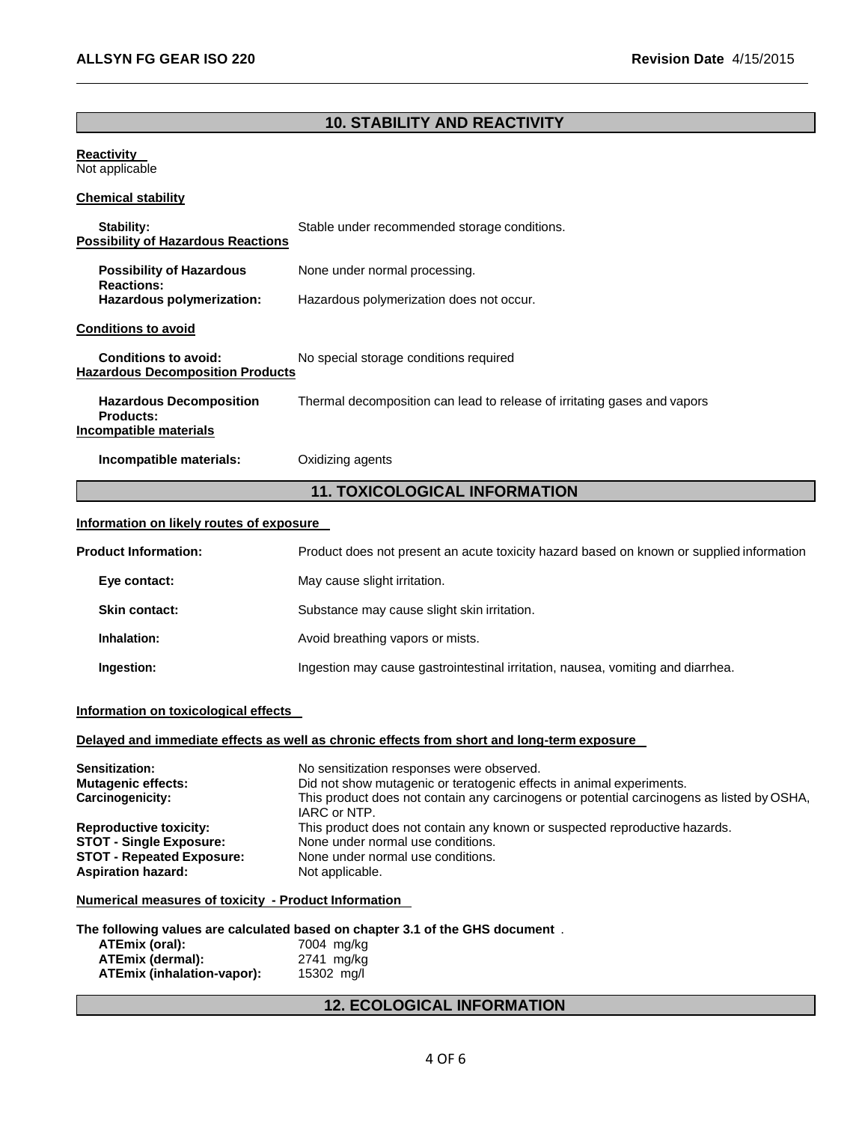# **10. STABILITY AND REACTIVITY**

### **Reactivity**  Not applicable

# **Chemical stability**

| Stability:<br><b>Possibility of Hazardous Reactions</b>                      | Stable under recommended storage conditions.                             |  |
|------------------------------------------------------------------------------|--------------------------------------------------------------------------|--|
| <b>Possibility of Hazardous</b><br><b>Reactions:</b>                         | None under normal processing.                                            |  |
| Hazardous polymerization:                                                    | Hazardous polymerization does not occur.                                 |  |
| <b>Conditions to avoid</b>                                                   |                                                                          |  |
| <b>Conditions to avoid:</b><br><b>Hazardous Decomposition Products</b>       | No special storage conditions required                                   |  |
| <b>Hazardous Decomposition</b><br><b>Products:</b><br>Incompatible materials | Thermal decomposition can lead to release of irritating gases and vapors |  |
| Incompatible materials:                                                      | Oxidizing agents                                                         |  |
| <b>11. TOXICOLOGICAL INFORMATION</b>                                         |                                                                          |  |
| Information on likely routes of exposure                                     |                                                                          |  |

| <b>Product Information:</b> | Product does not present an acute toxicity hazard based on known or supplied information |
|-----------------------------|------------------------------------------------------------------------------------------|
| Eye contact:                | May cause slight irritation.                                                             |
| <b>Skin contact:</b>        | Substance may cause slight skin irritation.                                              |
| Inhalation:                 | Avoid breathing vapors or mists.                                                         |
| Ingestion:                  | Ingestion may cause gastrointestinal irritation, nausea, vomiting and diarrhea.          |

# **Information on toxicological effects**

# **Delayed and immediate effects as well as chronic effects from short and long-term exposure**

| <b>Sensitization:</b><br><b>Mutagenic effects:</b><br>Carcinogenicity: | No sensitization responses were observed.<br>Did not show mutagenic or teratogenic effects in animal experiments.<br>This product does not contain any carcinogens or potential carcinogens as listed by OSHA,<br>IARC or NTP. |
|------------------------------------------------------------------------|--------------------------------------------------------------------------------------------------------------------------------------------------------------------------------------------------------------------------------|
| <b>Reproductive toxicity:</b>                                          | This product does not contain any known or suspected reproductive hazards.                                                                                                                                                     |
| <b>STOT - Single Exposure:</b>                                         | None under normal use conditions.                                                                                                                                                                                              |
| <b>STOT - Repeated Exposure:</b>                                       | None under normal use conditions.                                                                                                                                                                                              |
| <b>Aspiration hazard:</b>                                              | Not applicable.                                                                                                                                                                                                                |

# **Numerical measures of toxicity - Product Information**

# **The following values are calculated based on chapter 3.1 of the GHS document** .

| ATEmix (oral):             | 7004 mg/kg |
|----------------------------|------------|
| ATEmix (dermal):           | 2741 mg/kg |
| ATEmix (inhalation-vapor): | 15302 mg/l |

# **12. ECOLOGICAL INFORMATION**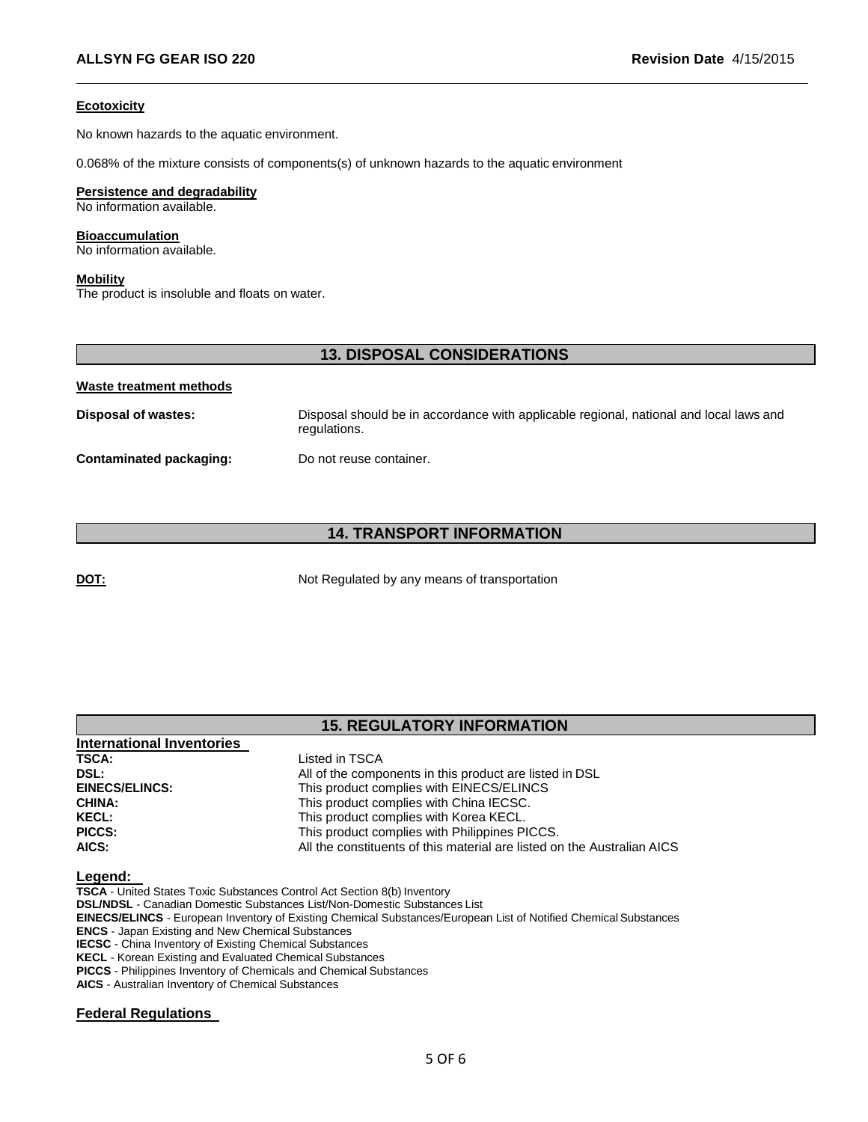### **Ecotoxicity**

No known hazards to the aquatic environment.

0.068% of the mixture consists of components(s) of unknown hazards to the aquatic environment

### **Persistence and degradability**

No information available.

### **Bioaccumulation**

No information available.

### **Mobility**

The product is insoluble and floats on water.

# **13. DISPOSAL CONSIDERATIONS**

### **Waste treatment methods**

| Disposal of wastes:     | Disposal should be in accordance with applicable regional, national and local laws and<br>regulations. |
|-------------------------|--------------------------------------------------------------------------------------------------------|
| Contaminated packaging: | Do not reuse container.                                                                                |

# **14. TRANSPORT INFORMATION**

**DOT:** Not Regulated by any means of transportation

# **15. REGULATORY INFORMATION**

| International Inventories |                                                                         |
|---------------------------|-------------------------------------------------------------------------|
| <b>TSCA:</b>              | Listed in TSCA                                                          |
| DSL:                      | All of the components in this product are listed in DSL                 |
| <b>EINECS/ELINCS:</b>     | This product complies with EINECS/ELINCS                                |
| <b>CHINA:</b>             | This product complies with China IECSC.                                 |
| <b>KECL:</b>              | This product complies with Korea KECL.                                  |
| PICCS:                    | This product complies with Philippines PICCS.                           |
| AICS:                     | All the constituents of this material are listed on the Australian AICS |

# **Legend:**

**TSCA** - United States Toxic Substances Control Act Section 8(b) Inventory **DSL/NDSL** - Canadian Domestic Substances List/Non-Domestic Substances List **EINECS/ELINCS** - European Inventory of Existing Chemical Substances/European List of Notified Chemical Substances **ENCS** - Japan Existing and New Chemical Substances **IECSC** - China Inventory of Existing Chemical Substances **KECL** - Korean Existing and Evaluated Chemical Substances **PICCS** - Philippines Inventory of Chemicals and Chemical Substances **AICS** - Australian Inventory of Chemical Substances

## **Federal Regulations**